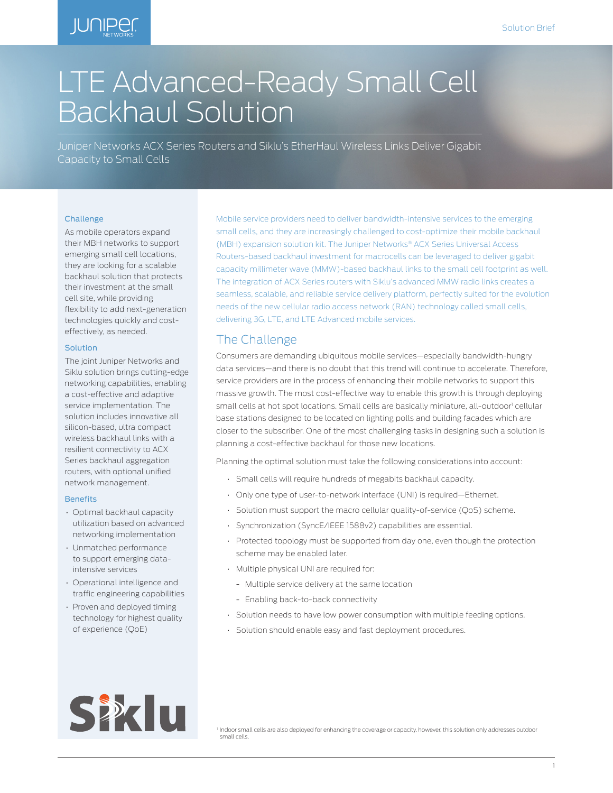# **JUNIPER**

# LTE Advanced-Ready Small Cell Backhaul Solution

Juniper Networks ACX Series Routers and Siklu's EtherHaul Wireless Links Deliver Gigabit Capacity to Small Cells

#### Challenge

As mobile operators expand their MBH networks to support emerging small cell locations, they are looking for a scalable backhaul solution that protects their investment at the small cell site, while providing flexibility to add next-generation technologies quickly and costeffectively, as needed.

#### Solution

The joint Juniper Networks and Siklu solution brings cutting-edge networking capabilities, enabling a cost-effective and adaptive service implementation. The solution includes innovative all silicon-based, ultra compact wireless backhaul links with a resilient connectivity to ACX Series backhaul aggregation routers, with optional unified network management.

#### **Benefits**

- Optimal backhaul capacity utilization based on advanced networking implementation
- Unmatched performance to support emerging dataintensive services
- Operational intelligence and traffic engineering capabilities
- Proven and deployed timing technology for highest quality of experience (QoE)

Mobile service providers need to deliver bandwidth-intensive services to the emerging small cells, and they are increasingly challenged to cost-optimize their mobile backhaul (MBH) expansion solution kit. The Juniper Networks® ACX Series Universal Access Routers-based backhaul investment for macrocells can be leveraged to deliver gigabit capacity millimeter wave (MMW)-based backhaul links to the small cell footprint as well. The integration of ACX Series routers with Siklu's advanced MMW radio links creates a seamless, scalable, and reliable service delivery platform, perfectly suited for the evolution needs of the new cellular radio access network (RAN) technology called small cells, delivering 3G, LTE, and LTE Advanced mobile services.

# The Challenge

Consumers are demanding ubiquitous mobile services—especially bandwidth-hungry data services—and there is no doubt that this trend will continue to accelerate. Therefore, service providers are in the process of enhancing their mobile networks to support this massive growth. The most cost-effective way to enable this growth is through deploying small cells at hot spot locations. Small cells are basically miniature, all-outdoor<sup>i</sup> cellular base stations designed to be located on lighting polls and building facades which are closer to the subscriber. One of the most challenging tasks in designing such a solution is planning a cost-effective backhaul for those new locations.

Planning the optimal solution must take the following considerations into account:

- Small cells will require hundreds of megabits backhaul capacity.
- Only one type of user-to-network interface (UNI) is required—Ethernet.
- Solution must support the macro cellular quality-of-service (QoS) scheme.
- Synchronization (SyncE/IEEE 1588v2) capabilities are essential.
- Protected topology must be supported from day one, even though the protection scheme may be enabled later.
- Multiple physical UNI are required for:
	- Multiple service delivery at the same location
	- Enabling back-to-back connectivity
- Solution needs to have low power consumption with multiple feeding options.
- Solution should enable easy and fast deployment procedures.



<sup>1</sup> Indoor small cells are also deployed for enhancing the coverage or capacity, however, this solution only addresses outdoor small cells.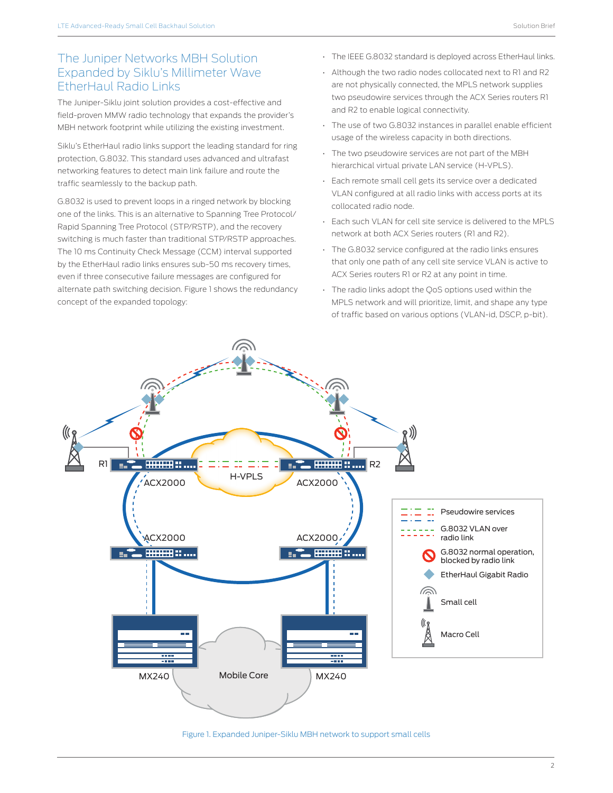# The Juniper Networks MBH Solution Expanded by Siklu's Millimeter Wave EtherHaul Radio Links

The Juniper-Siklu joint solution provides a cost-effective and field-proven MMW radio technology that expands the provider's MBH network footprint while utilizing the existing investment.

Siklu's EtherHaul radio links support the leading standard for ring protection, G.8032. This standard uses advanced and ultrafast networking features to detect main link failure and route the traffic seamlessly to the backup path.

G.8032 is used to prevent loops in a ringed network by blocking one of the links. This is an alternative to Spanning Tree Protocol/ Rapid Spanning Tree Protocol (STP/RSTP), and the recovery switching is much faster than traditional STP/RSTP approaches. The 10 ms Continuity Check Message (CCM) interval supported by the EtherHaul radio links ensures sub-50 ms recovery times, even if three consecutive failure messages are configured for alternate path switching decision. Figure 1 shows the redundancy concept of the expanded topology:

- The IEEE G.8032 standard is deployed across EtherHaul links.
- Although the two radio nodes collocated next to R1 and R2 are not physically connected, the MPLS network supplies two pseudowire services through the ACX Series routers R1 and R2 to enable logical connectivity.
- The use of two G.8032 instances in parallel enable efficient usage of the wireless capacity in both directions.
- The two pseudowire services are not part of the MBH hierarchical virtual private LAN service (H-VPLS).
- Each remote small cell gets its service over a dedicated VLAN configured at all radio links with access ports at its collocated radio node.
- Each such VLAN for cell site service is delivered to the MPLS network at both ACX Series routers (R1 and R2).
- The G.8032 service configured at the radio links ensures that only one path of any cell site service VLAN is active to ACX Series routers R1 or R2 at any point in time.
- The radio links adopt the QoS options used within the MPLS network and will prioritize, limit, and shape any type of traffic based on various options (VLAN-id, DSCP, p-bit).



#### Figure 1. Expanded Juniper-Siklu MBH network to support small cells